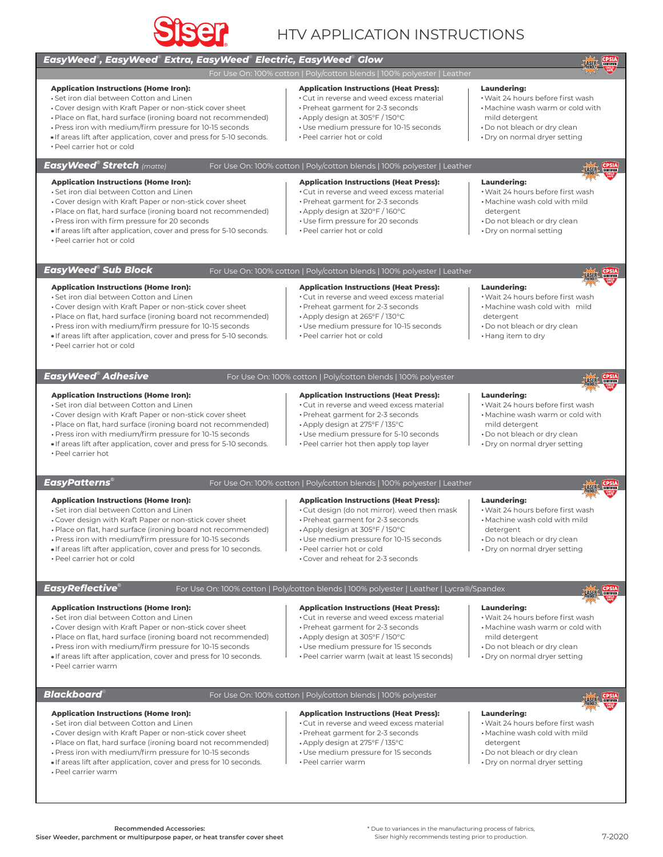

# HTV APPLICATION INSTRUCTIONS

## ® ® ® ® *EasyWeed , EasyWeed Extra, EasyWeed Electric, EasyWeed Glow*

For Use On: 100% cotton | Poly/cotton blends | 100% polyester | Leather

#### **Application Instructions (Home Iron):**

**Application Instructions (Home Iron):** Set iron dial between Cotton and Linen

**Application Instructions (Home Iron):** Set iron dial between Cotton and Linen

Press iron with firm pressure for 20 seconds

- Set iron dial between Cotton and Linen
- Cover design with Kraft Paper or non-stick cover sheet Place on flat, hard surface (ironing board not recommended)
- Press iron with medium/firm pressure for 10-15 seconds
- \* If areas lift after application, cover and press for 5-10 seconds.

 Cover design with Kraft Paper or non-stick cover sheet Place on flat, hard surface (ironing board not recommended)

 Cover design with Kraft Paper or non-stick cover sheet Place on flat, hard surface (ironing board not recommended) Press iron with medium/firm pressure for 10-15 seconds If areas lift after application, cover and press for 5-10 seconds.

- 
- Peel carrier hot or cold

*® EasyWeed Stretch (matte)*

## For Use On: 100% cotton | Poly/cotton blends | 100% polyester | Leather

#### **Application Instructions (Heat Press):**

Peel carrier hot or cold

Cut in reverse and weed excess material

**Application Instructions (Heat Press):** Cut in reverse and weed excess material Preheat garment for 2-3 seconds Apply design at 305°F / 150°C Use medium pressure for 10-15 seconds

- Preheat garment for 2-3 seconds
- Apply design at 320°F / 160°C
- Use firm pressure for 20 seconds
- Peel carrier hot or cold
- \* If areas lift after application, cover and press for 5-10 seconds. Peel carrier hot or cold

*® EasyWeed Sub Block*

For Use On: 100% cotton | Poly/cotton blends | 100% polyester | Leather

#### **Application Instructions (Heat Press):**

- Cut in reverse and weed excess material
- Preheat garment for 2-3 seconds
- Apply design at 265°F / 130°C
- Use medium pressure for 10-15 seconds
- Peel carrier hot or cold

**Application Instructions (Heat Press):** Cut in reverse and weed excess material Preheat garment for 2-3 seconds

Peel carrier hot or cold

*® EasyWeed Adhesive*

## For Use On: 100% cotton | Poly/cotton blends | 100% polyester

## **Application Instructions (Home Iron):**

- Set iron dial between Cotton and Linen
- Cover design with Kraft Paper or non-stick cover sheet

 Cover design with Kraft Paper or non-stick cover sheet Place on flat, hard surface (ironing board not recommended) Press iron with medium/firm pressure for 10-15 seconds If areas lift after application, cover and press for 10 seconds.

- Place on flat, hard surface (ironing board not recommended)
- Press iron with medium/firm pressure for 10-15 seconds
- If areas lift after application, cover and press for 5-10 seconds.
- Peel carrier hot

*® EasyPatterns*

## For Use On: 100% cotton | Poly/cotton blends | 100% polyester | Leather

### **Application Instructions (Heat Press):**

- Cut design (do not mirror). weed then mask
- Preheat garment for 2-3 seconds
- Apply design at 305°F / 150°C
- Use medium pressure for 10-15 seconds
- Peel carrier hot or cold
- Cover and reheat for 2-3 seconds

#### **Laundering:** Wait 24 hours before first wash

**Laundering:**

**Laundering:**

detergent

**Laundering:**

detergent

 mild detergent Do not bleach or dry clean Dry on normal dryer setting

 Wait 24 hours before first wash Machine wash warm or cold with

**LASTE CPS** 

LASER<sup>C</sup>

LASER.

**ASTRE CPSIA** 

**LASTA CPSIA** 

**LASER** 

 Wait 24 hours before first wash Machine wash cold with mild

 Wait 24 hours before first wash Machine wash cold with mild

 Do not bleach or dry clean Hang item to dry

 Do not bleach or dry clean Dry on normal setting

- Machine wash warm or cold with mild detergent
- Do not bleach or dry clean
- Dry on normal dryer setting

**Laundering:** Wait 24 hours before first wash

- Machine wash cold with mild
- 

**Laundering:**

 mild detergent Do not bleach or dry clean Dry on normal dryer setting

- 
- detergent
- Do not bleach or dry clean
- Dry on normal dryer setting
- 

 Wait 24 hours before first wash Machine wash warm or cold with

For Use On: 100% cotton | Poly/cotton blends | 100% polyester | Leather | Lycra®/Spandex

## **Application Instructions (Home Iron):**

**Application Instructions (Home Iron):** Set iron dial between Cotton and Linen

**Application Instructions (Home Iron):** Set iron dial between Cotton and Linen

- Set iron dial between Cotton and Linen
- Cover design with Kraft Paper or non-stick cover sheet
- Place on flat, hard surface (ironing board not recommended)

 Cover design with Kraft Paper or non-stick cover sheet Place on flat, hard surface (ironing board not recommended) Press iron with medium/firm pressure for 10-15 seconds If areas lift after application, cover and press for 10 seconds.

- Press iron with medium/firm pressure for 10-15 seconds
- If areas lift after application, cover and press for 10 seconds.
- Peel carrier warm

Peel carrier warm

Peel carrier hot or cold

*® EasyReflective*

## **Application Instructions (Heat Press):**

- Cut in reverse and weed excess material
- Preheat garment for 2-3 seconds
- Apply design at 305°F / 150°C
- Use medium pressure for 15 seconds
- Peel carrier warm (wait at least 15 seconds)
- 

## ® *Blackboard*

# For Use On: 100% cotton | Poly/cotton blends | 100% polyester

## **Application Instructions (Heat Press):**

- Cut in reverse and weed excess material
- Preheat garment for 2-3 seconds
- Apply design at 275°F / 135°C
- Use medium pressure for 15 seconds
- Peel carrier warm

## **Laundering:**

- Wait 24 hours before first wash Machine wash cold with mild
- detergent
- Do not bleach or dry clean
- Dry on normal dryer setting
- 
- 
- Apply design at 275°F / 135°C Use medium pressure for 5-10 seconds
- Peel carrier hot then apply top layer
-